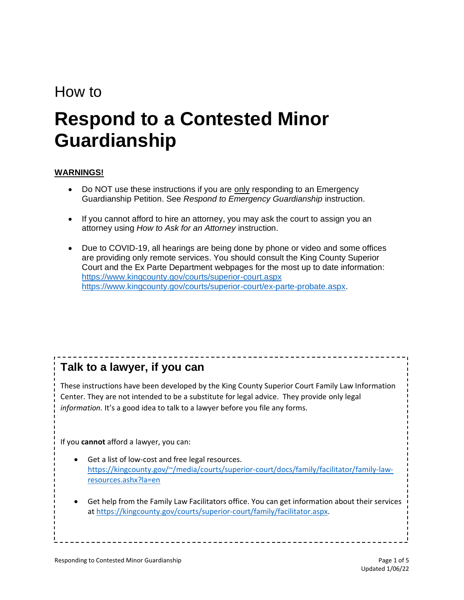## How to

# **Respond to a Contested Minor Guardianship**

#### **WARNINGS!**

- Do NOT use these instructions if you are only responding to an Emergency Guardianship Petition. See *Respond to Emergency Guardianship* instruction.
- If you cannot afford to hire an attorney, you may ask the court to assign you an attorney using *How to Ask for an Attorney* instruction.
- Due to COVID-19, all hearings are being done by phone or video and some offices are providing only remote services. You should consult the King County Superior Court and the Ex Parte Department webpages for the most up to date information: <https://www.kingcounty.gov/courts/superior-court.aspx> [https://www.kingcounty.gov/courts/superior-court/ex-parte-probate.aspx.](https://www.kingcounty.gov/courts/superior-court/ex-parte-probate.aspx)

## **Talk to a lawyer, if you can**

These instructions have been developed by the King County Superior Court Family Law Information Center. They are not intended to be a substitute for legal advice. They provide only legal *information.* It's a good idea to talk to a lawyer before you file any forms.

If you **cannot** afford a lawyer, you can:

- Get a list of low-cost and free legal resources. [https://kingcounty.gov/~/media/courts/superior-court/docs/family/facilitator/family-law](https://kingcounty.gov/~/media/courts/superior-court/docs/family/facilitator/family-law-resources.ashx?la=en)[resources.ashx?la=en](https://kingcounty.gov/~/media/courts/superior-court/docs/family/facilitator/family-law-resources.ashx?la=en)
- Get help from the Family Law Facilitators office. You can get information about their services at [https://kingcounty.gov/courts/superior-court/family/facilitator.aspx.](https://kingcounty.gov/courts/superior-court/family/facilitator.aspx)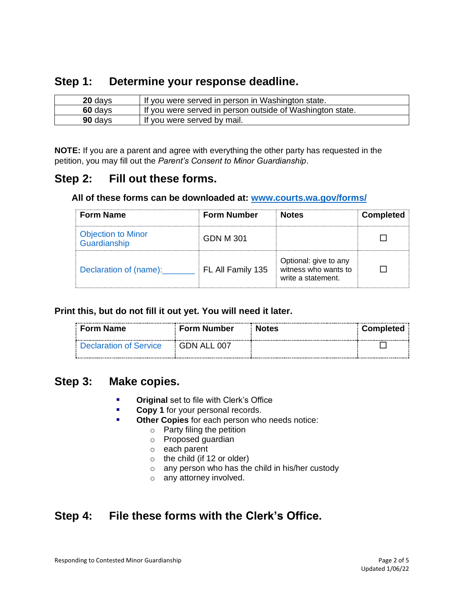## **Step 1: Determine your response deadline.**

| 20 days | If you were served in person in Washington state.         |
|---------|-----------------------------------------------------------|
| 60 days | If you were served in person outside of Washington state. |
| 90 days | If you were served by mail.                               |

**NOTE:** If you are a parent and agree with everything the other party has requested in the petition, you may fill out the *Parent's Consent to Minor Guardianship*.

## **Step 2: Fill out these forms.**

#### **All of these forms can be downloaded at: [www.courts.wa.gov/forms/](http://www.courts.wa.gov/forms/)**

| <b>Form Name</b>                          | <b>Form Number</b> | <b>Notes</b>                                                        | <b>Completed</b> |
|-------------------------------------------|--------------------|---------------------------------------------------------------------|------------------|
| <b>Objection to Minor</b><br>Guardianship | GDN M 301          |                                                                     |                  |
| Declaration of (name):                    | FL All Family 135  | Optional: give to any<br>witness who wants to<br>write a statement. |                  |

#### **Print this, but do not fill it out yet. You will need it later.**

| ∶ Form Name                   | ⊧ Form Number ∣      | <b>Notes</b> | Completed |
|-------------------------------|----------------------|--------------|-----------|
| <b>Declaration of Service</b> | $\vdots$ GDN ALL 007 |              |           |

### **Step 3: Make copies.**

- **Original** set to file with Clerk's Office
- **EXECOPY 1** for your personal records.
- Other Copies for each person who needs notice:
	- o Party filing the petition
	- o Proposed guardian
	- o each parent
	- $\circ$  the child (if 12 or older)
	- o any person who has the child in his/her custody
	- o any attorney involved.

## **Step 4: File these forms with the Clerk's Office.**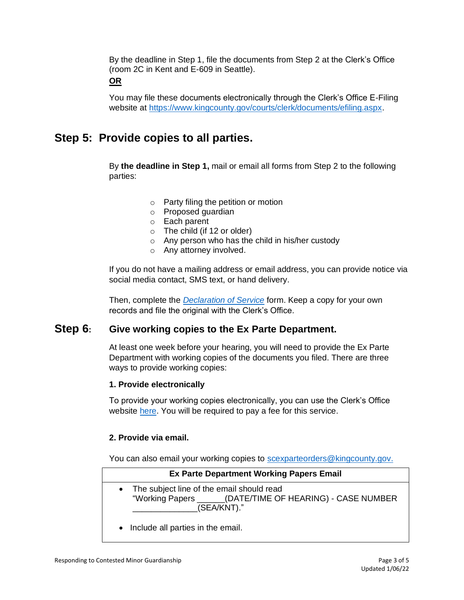By the deadline in Step 1, file the documents from Step 2 at the Clerk's Office (room 2C in Kent and E-609 in Seattle).

#### **OR**

You may file these documents electronically through the Clerk's Office E-Filing website at [https://www.kingcounty.gov/courts/clerk/documents/efiling.aspx.](https://www.kingcounty.gov/courts/clerk/documents/efiling.aspx)

## **Step 5: Provide copies to all parties.**

By **the deadline in Step 1,** mail or email all forms from Step 2 to the following parties:

- o Party filing the petition or motion
- o Proposed guardian
- o Each parent
- $\circ$  The child (if 12 or older)
- o Any person who has the child in his/her custody
- o Any attorney involved.

If you do not have a mailing address or email address, you can provide notice via social media contact, SMS text, or hand delivery.

Then, complete the *[Declaration of Service](https://www.courts.wa.gov/forms/documents/GDN%2004%200850%20Decl%20of%20Service%202018%2010.doc)* form. Keep a copy for your own records and file the original with the Clerk's Office.

#### **Step 6: Give working copies to the Ex Parte Department.**

At least one week before your hearing, you will need to provide the Ex Parte Department with working copies of the documents you filed. There are three ways to provide working copies:

#### **1. Provide electronically**

To provide your working copies electronically, you can use the Clerk's Office website [here.](https://kingcounty.gov/courts/clerk/documents/eWC.aspx) You will be required to pay a fee for this service.

#### **2. Provide via email.**

You can also email your working copies to [scexparteorders@kingcounty.gov.](mailto:scexparteorders@kingcounty.gov)

| <b>Ex Parte Department Working Papers Email</b>                                                                          |
|--------------------------------------------------------------------------------------------------------------------------|
| • The subject line of the email should read<br>"Working Papers ______(DATE/TIME OF HEARING) - CASE NUMBER<br>(SEA/KNT)." |
| .                                                                                                                        |

• Include all parties in the email.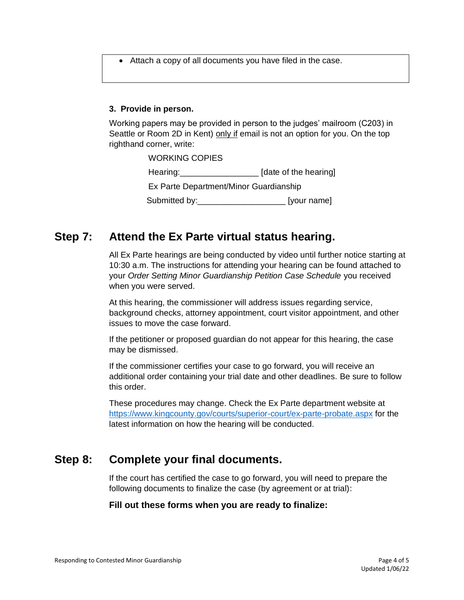• Attach a copy of all documents you have filed in the case.

#### **3. Provide in person.**

Working papers may be provided in person to the judges' mailroom (C203) in Seattle or Room 2D in Kent) only if email is not an option for you. On the top righthand corner, write:

> WORKING COPIES Hearing: The same area is a late of the hearing Ex Parte Department/Minor Guardianship Submitted by: example and submitted by:

## **Step 7: Attend the Ex Parte virtual status hearing.**

All Ex Parte hearings are being conducted by video until further notice starting at 10:30 a.m. The instructions for attending your hearing can be found attached to your *Order Setting Minor Guardianship Petition Case Schedule* you received when you were served.

At this hearing, the commissioner will address issues regarding service, background checks, attorney appointment, court visitor appointment, and other issues to move the case forward.

If the petitioner or proposed guardian do not appear for this hearing, the case may be dismissed.

If the commissioner certifies your case to go forward, you will receive an additional order containing your trial date and other deadlines. Be sure to follow this order.

These procedures may change. Check the Ex Parte department website at <https://www.kingcounty.gov/courts/superior-court/ex-parte-probate.aspx> for the latest information on how the hearing will be conducted.

## **Step 8: Complete your final documents.**

If the court has certified the case to go forward, you will need to prepare the following documents to finalize the case (by agreement or at trial):

#### **Fill out these forms when you are ready to finalize:**